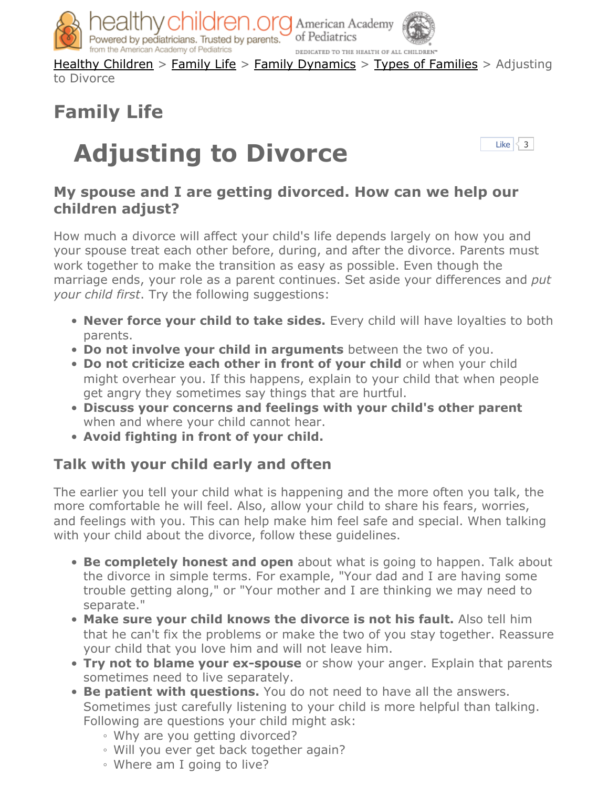

Healthy Children > Family Life > Family Dynamics > Types of Families > Adjusting to Divorce

## **Family Life**

# **Adjusting to Divorce**



#### **My spouse and I are getting divorced. How can we help our children adjust?**

How much a divorce will affect your child's life depends largely on how you and your spouse treat each other before, during, and after the divorce. Parents must work together to make the transition as easy as possible. Even though the marriage ends, your role as a parent continues. Set aside your differences and *put your child first*. Try the following suggestions:

- **Never force your child to take sides.** Every child will have loyalties to both parents.
- **Do not involve your child in arguments** between the two of you.
- **Do not criticize each other in front of your child** or when your child might overhear you. If this happens, explain to your child that when people get angry they sometimes say things that are hurtful.
- **Discuss your concerns and feelings with your child's other parent** when and where your child cannot hear.
- **Avoid fighting in front of your child.**

### **Talk with your child early and often**

The earlier you tell your child what is happening and the more often you talk, the more comfortable he will feel. Also, allow your child to share his fears, worries, and feelings with you. This can help make him feel safe and special. When talking with your child about the divorce, follow these guidelines.

- **Be completely honest and open** about what is going to happen. Talk about the divorce in simple terms. For example, "Your dad and I are having some trouble getting along," or "Your mother and I are thinking we may need to separate."
- **Make sure your child knows the divorce is not his fault.** Also tell him that he can't fix the problems or make the two of you stay together. Reassure your child that you love him and will not leave him.
- **Try not to blame your ex-spouse** or show your anger. Explain that parents sometimes need to live separately.
- **Be patient with questions.** You do not need to have all the answers. Sometimes just carefully listening to your child is more helpful than talking. Following are questions your child might ask:
	- Why are you getting divorced?
	- Will you ever get back together again?
	- Where am I going to live?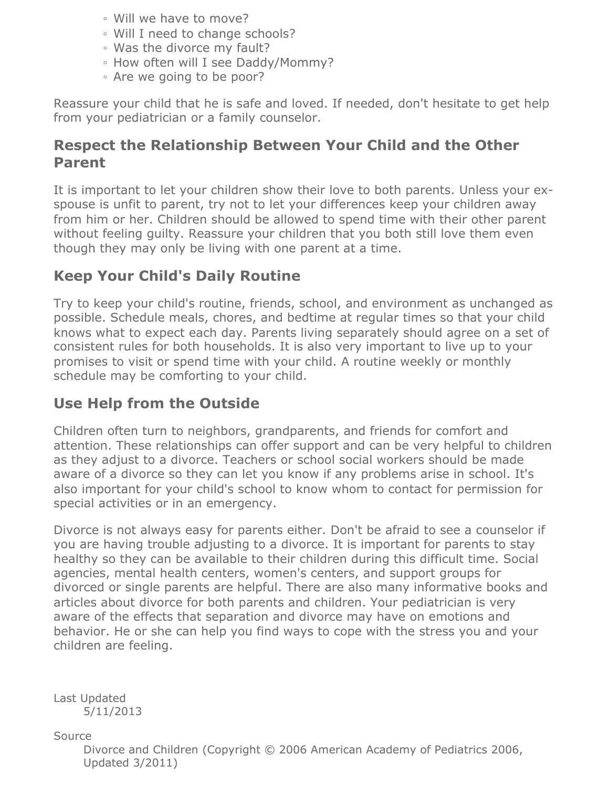- Will we have to move?
- Will I need to change schools?
- Was the divorce my fault?
- How often will I see Daddy/Mommy?
- Are we going to be poor?

Reassure your child that he is safe and loved. If needed, don't hesitate to get help from your pediatrician or a family counselor.

#### **Respect the Relationship Between Your Child and the Other Parent**

It is important to let your children show their love to both parents. Unless your exspouse is unfit to parent, try not to let your differences keep your children away from him or her. Children should be allowed to spend time with their other parent without feeling guilty. Reassure your children that you both still love them even though they may only be living with one parent at a time.

#### **Keep Your Child's Daily Routine**

Try to keep your child's routine, friends, school, and environment as unchanged as possible. Schedule meals, chores, and bedtime at regular times so that your child knows what to expect each day. Parents living separately should agree on a set of consistent rules for both households. It is also very important to live up to your promises to visit or spend time with your child. A routine weekly or monthly schedule may be comforting to your child.

#### **Use Help from the Outside**

Children often turn to neighbors, grandparents, and friends for comfort and attention. These relationships can offer support and can be very helpful to children as they adjust to a divorce. Teachers or school social workers should be made aware of a divorce so they can let you know if any problems arise in school. It's also important for your child's school to know whom to contact for permission for special activities or in an emergency.

Divorce is not always easy for parents either. Don't be afraid to see a counselor if you are having trouble adjusting to a divorce. It is important for parents to stay healthy so they can be available to their children during this difficult time. Social agencies, mental health centers, women's centers, and support groups for divorced or single parents are helpful. There are also many informative books and articles about divorce for both parents and children. Your pediatrician is very aware of the effects that separation and divorce may have on emotions and behavior. He or she can help you find ways to cope with the stress you and your children are feeling.

Last Updated 5/11/2013

Source

Divorce and Children (Copyright © 2006 American Academy of Pediatrics 2006, Updated 3/2011)